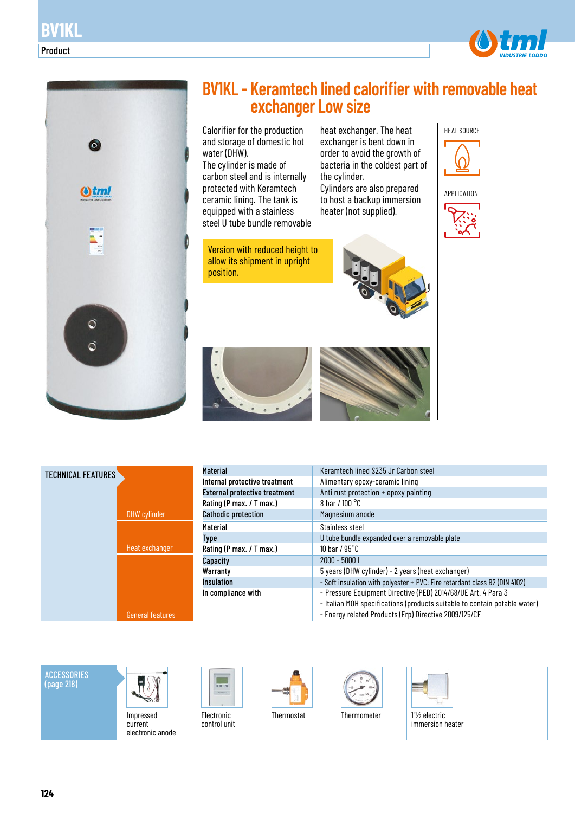



# **BV1KL - Keramtech lined calorifier with removable heat exchanger Low size**

Calorifier for the production and storage of domestic hot water (DHW). The cylinder is made of carbon steel and is internally protected with Keramtech ceramic lining. The tank is equipped with a stainless steel U tube bundle removable

Version with reduced height to allow its shipment in upright position.

heat exchanger. The heat exchanger is bent down in order to avoid the growth of bacteria in the coldest part of the cylinder.

Cylinders are also prepared to host a backup immersion heater (not supplied).











| <b>Material</b>                      | Keramtech lined \$235 Jr Carbon steel                                                                                                      |
|--------------------------------------|--------------------------------------------------------------------------------------------------------------------------------------------|
| Internal protective treatment        | Alimentary epoxy-ceramic lining                                                                                                            |
| <b>External protective treatment</b> | Anti rust protection + epoxy painting                                                                                                      |
| Rating (P max. / T max.)             | 8 bar / $100^{\circ}$ C                                                                                                                    |
| <b>Cathodic protection</b>           | Magnesium anode                                                                                                                            |
| <b>Material</b>                      | Stainless steel                                                                                                                            |
| <b>Type</b>                          | U tube bundle expanded over a removable plate                                                                                              |
| Rating (P max. / T max.)             | 10 har / $95^{\circ}$ C                                                                                                                    |
| Capacity                             | $2000 - 5000$ L                                                                                                                            |
| Warranty                             | 5 years (DHW cylinder) - 2 years (heat exchanger)                                                                                          |
| <b>Insulation</b>                    | - Soft insulation with polyester + PVC: Fire retardant class B2 (DIN 4102)                                                                 |
| In compliance with                   | - Pressure Equipment Directive (PED) 2014/68/UE Art. 4 Para 3<br>- Italian MOH specifications (products suitable to contain potable water) |

- Energy related Products (Erp) Directive 2009/125/CE

**ACCESSORIES** (page 218)



Impressed current electronic anode



Electronic control unit







immersion heater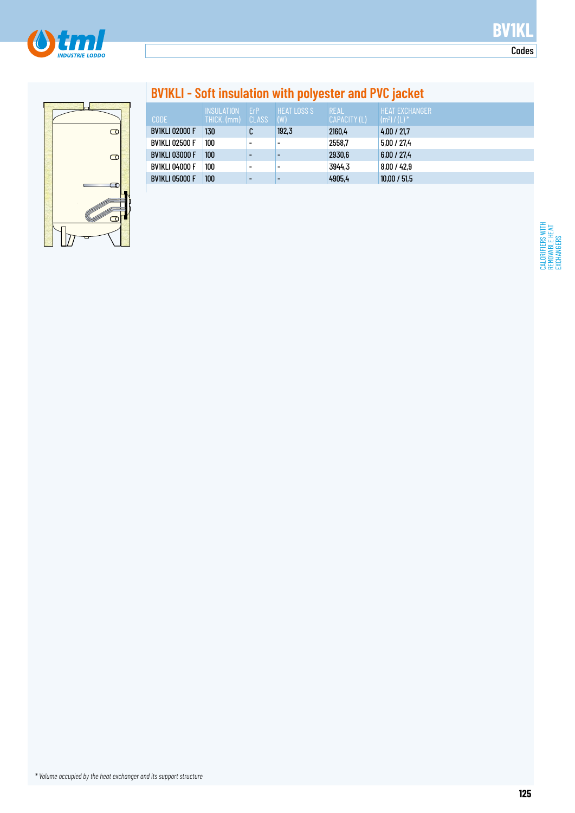

Codes

CALORIFIERS WITH REMOVABLE HEAT EXCHANGERS

CALORIFIERS WITH<br>REMOVABLE HEAT<br>EXCHANGERS



# **BV1KLI - Soft insulation with polyester and PVC jacket**

|                       | <b>INSULATION</b> | FrP                      | <b>LHEAT LOSS S</b> | <b>REAL</b>  | <b>HEAT EXCHANGER</b>                   |
|-----------------------|-------------------|--------------------------|---------------------|--------------|-----------------------------------------|
| <b>CODE</b>           | THICK. (mm)       | CLASS                    | (W)                 | CAPACITY (L) | $\mathsf{I}(\mathsf{m}^2)$ / (L) $^*$ . |
| <b>BV1KLI 02000 F</b> | 130               | C                        | 192,3               | 2160.4       | 4.00 / 21.7                             |
| <b>BV1KLI 02500 F</b> | 100               | $\overline{\phantom{0}}$ | -                   | 2558.7       | 5.00 / 27.4                             |
| <b>BV1KLI 03000 F</b> | 100               | $\overline{\phantom{0}}$ | -                   | 2930,6       | 6.00 / 27.4                             |
| <b>BV1KLI 04000 F</b> | 100               | $\overline{\phantom{0}}$ | -                   | 3944,3       | 8,00/42.9                               |
| <b>BV1KLI 05000 F</b> | 100               | $\overline{\phantom{0}}$ |                     | 4905.4       | 10.00 / 51.5                            |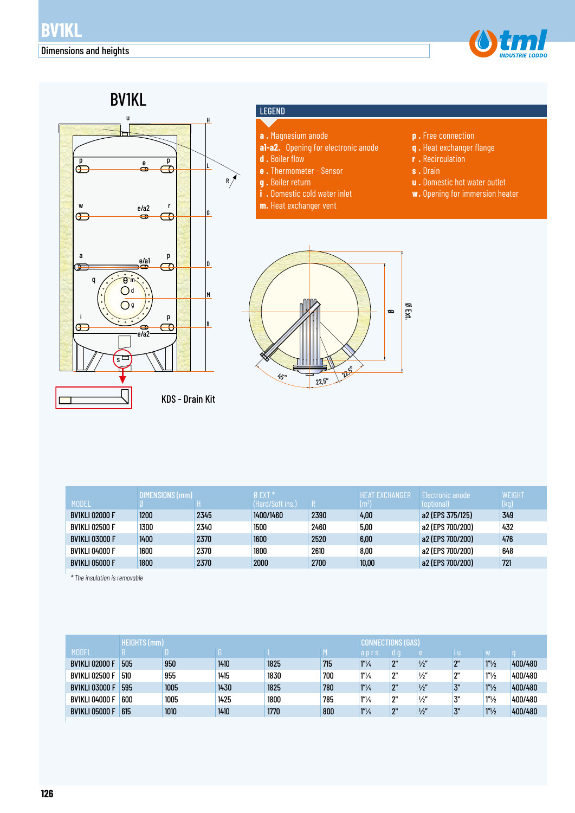



#### LEGEND

- **a .** Magnesium anode
- **a1-a2.** Opening for electronic anode
- **d .** Boiler flow
- **e .** Thermometer Sensor
- **g .** Boiler return
- **i .** Domestic cold water inlet
- **m.** Heat exchanger vent
- **p .** Free connection
- **q .** Heat exchanger flange
- **r .** Recirculation
- **s .** Drain
- **u .** Domestic hot water outlet
- **w.** Opening for immersion heater



|                       | DIMENSIONS (mm) |      | Ø EXT *          |      | HFAT FXCHANGFR | <b>Electronic anode</b> | WEIGHT |
|-----------------------|-----------------|------|------------------|------|----------------|-------------------------|--------|
| <b>MODEL</b>          |                 |      | (Hard/Soft ins.) |      | $\rm (m^2$     | (optional)              | (kg)   |
| <b>BV1KLI 02000 F</b> | 1200            | 2345 | 1400/1460        | 2390 | 4.00           | a2 (EPS 375/125)        | 349    |
| <b>BV1KLI 02500 F</b> | 1300            | 2340 | 1500             | 2460 | 5,00           | a2 (EPS 700/200)        | 432    |
| <b>BV1KLI 03000 F</b> | 1400            | 2370 | 1600             | 2520 | 6,00           | a2 (EPS 700/200)        | 476    |
| <b>BV1KLI 04000 F</b> | 1600            | 2370 | 1800             | 2610 | 8,00           | a2 (EPS 700/200)        | 648    |
| <b>BV1KLI 05000 F</b> | 1800            | 2370 | 2000             | 2700 | 10,00          | a2 (EPS 700/200)        | 721    |

*\* The insulation is removable*

|                       | HEIGHTS (mm) |      |      |      |     |                  |     |               |     |                   |         |
|-----------------------|--------------|------|------|------|-----|------------------|-----|---------------|-----|-------------------|---------|
| <b>MODEL</b>          |              |      |      |      |     | aprs             | 0 O |               |     |                   |         |
| <b>BV1KLI 02000 F</b> | 505          | 950  | 1410 | 1825 | 715 | $1''\frac{1}{4}$ | ΩII | $\frac{1}{2}$ | יימ | $1''\frac{1}{2}$  | 400/480 |
| <b>BV1KLI 02500 F</b> | 510          | 955  | 1415 | 1830 | 700 | $1n$ /4          | יימ | $\frac{1}{2}$ | יימ | 1 <sup>n</sup> /2 | 400/480 |
| <b>BV1KLI 03000 F</b> | 595          | 1005 | 1430 | 1825 | 780 | $1''\frac{1}{4}$ | ΩII | $\frac{1}{2}$ | 3"  | 1 <sup>n</sup> /2 | 400/480 |
| <b>BV1KLI 04000 F</b> | 600          | 1005 | 1425 | 1800 | 785 | $1''\frac{1}{4}$ | יימ | $\frac{1}{2}$ | 3"  | 1 <sup>n</sup> /2 | 400/480 |
| <b>BV1KLI 05000 F</b> | 615          | 1010 | 1410 | 1770 | 800 | $1''\frac{1}{4}$ | ΩII | $\frac{1}{2}$ | 3"  | 1 <sup>n</sup> /2 | 400/480 |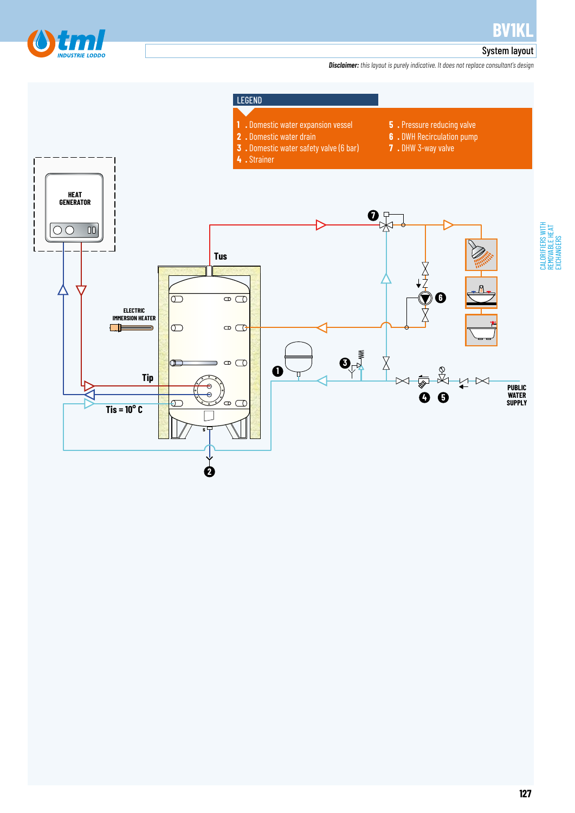

### System layout

*Disclaimer: this layout is purely indicative. It does not replace consultant's design*

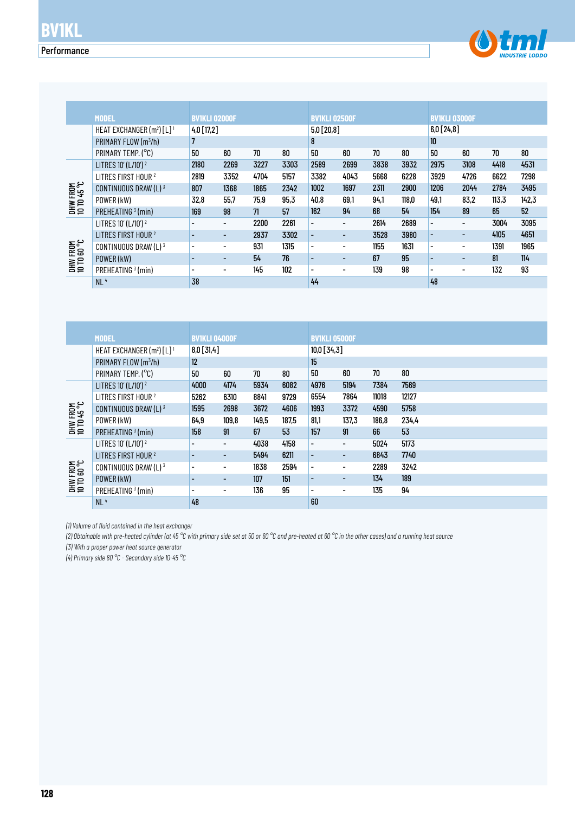### **Performance**



|                         | <b>MODEL</b>                                      | <b>BVIKLI 02000F</b>     |                          |      |      | <b>BV1KLI 02500F</b>     |                          |      |       | <b>BVIKLI 03000F</b>     |                          |       |       |
|-------------------------|---------------------------------------------------|--------------------------|--------------------------|------|------|--------------------------|--------------------------|------|-------|--------------------------|--------------------------|-------|-------|
|                         | HEAT EXCHANGER (m <sup>2</sup> ) [L] <sup>1</sup> | $4,0$ [17,2]             |                          |      |      | $5,0$ [20,8]             |                          |      |       | 6,0[24,8]                |                          |       |       |
|                         | PRIMARY FLOW (m <sup>3</sup> /h)                  |                          |                          |      |      | 8                        |                          |      |       | 10                       |                          |       |       |
|                         | PRIMARY TEMP. (°C)                                | 50                       | 60                       | 70   | 80   | 50                       | 60                       | 70   | 80    | 50                       | 60                       | 70    | 80    |
|                         | LITRES 10' (L/10') <sup>2</sup>                   | 2180                     | 2269                     | 3227 | 3303 | 2589                     | 2699                     | 3838 | 3932  | 2975                     | 3108                     | 4418  | 4531  |
|                         | LITRES FIRST HOUR <sup>2</sup>                    | 2819                     | 3352                     | 4704 | 5157 | 3382                     | 4043                     | 5668 | 6228  | 3929                     | 4726                     | 6622  | 7298  |
| DHW FROM<br>10 TO 45 °C | CONTINUOUS DRAW (L) 3                             | 807                      | 1368                     | 1865 | 2342 | 1002                     | 1697                     | 2311 | 2900  | 1206                     | 2044                     | 2784  | 3495  |
|                         | POWER (kW)                                        | 32,8                     | 55.7                     | 75.9 | 95,3 | 40,8                     | 69.1                     | 94.1 | 118,0 | 49,1                     | 83,2                     | 113,3 | 142,3 |
|                         | PREHEATING <sup>3</sup> (min)                     | 169                      | 98                       | 71   | 57   | 162                      | 94                       | 68   | 54    | 154                      | 89                       | 65    | 52    |
|                         | LITRES 10' (L/10') <sup>2</sup>                   |                          | $\overline{\phantom{a}}$ | 2200 | 2261 | $\overline{\phantom{a}}$ | -                        | 2614 | 2689  |                          | $\overline{\phantom{0}}$ | 3004  | 3095  |
|                         | LITRES FIRST HOUR <sup>2</sup>                    |                          |                          | 2937 | 3302 | $\overline{\phantom{a}}$ | $\overline{\phantom{0}}$ | 3528 | 3980  | $\overline{\phantom{0}}$ | $\overline{\phantom{0}}$ | 4105  | 4651  |
| DHW FROM<br>10 TO 60 °C | CONTINUOUS DRAW (L) 3                             | $\overline{\phantom{0}}$ | $\overline{\phantom{0}}$ | 931  | 1315 | $\overline{\phantom{a}}$ | -                        | 1155 | 1631  | ٠                        |                          | 1391  | 1965  |
|                         | POWER (kW)                                        |                          |                          | 54   | 76   | $\overline{\phantom{a}}$ | $\overline{\phantom{0}}$ | 67   | 95    |                          | $\overline{\phantom{0}}$ | 81    | 114   |
|                         | PREHEATING <sup>3</sup> (min)                     | $\overline{\phantom{0}}$ |                          | 145  | 102  | $\overline{\phantom{a}}$ | -                        | 139  | 98    | $\overline{\phantom{0}}$ | -                        | 132   | 93    |
|                         | NL <sup>4</sup>                                   | 38                       |                          |      |      | 44                       |                          |      |       | 48                       |                          |       |       |

|                         | CONTINUOUS DRAW (L) 3                             | 807                      | 1368                     | 1865  | 2342  | 1002                     | 1697                         | 2311  | 2900   | 1206                     | 2044                     | 2784  | 3495  |
|-------------------------|---------------------------------------------------|--------------------------|--------------------------|-------|-------|--------------------------|------------------------------|-------|--------|--------------------------|--------------------------|-------|-------|
| DHW FROM<br>10 TD 45 °C | POWER (kW)                                        | 32,8                     | 55,7                     | 75,9  | 95,3  | 40,8                     | 69,1                         | 94,1  | 118,0  | 49,1                     | 83,2                     | 113,3 | 142,3 |
|                         | PREHEATING <sup>3</sup> (min)                     | 169                      | 98                       | 71    | 57    | 162                      | 94                           | 68    | 54     | 154                      | 89                       | 65    | 52    |
|                         | LITRES 10' (L/10') <sup>2</sup>                   | -                        | $\overline{\phantom{a}}$ | 2200  | 2261  | $\overline{\phantom{0}}$ | $\overline{\phantom{a}}$     | 2614  | 2689   | $\overline{\phantom{0}}$ | $\overline{\phantom{a}}$ | 3004  | 3095  |
|                         | LITRES FIRST HOUR <sup>2</sup>                    | -                        | $\overline{\phantom{a}}$ | 2937  | 3302  | $\overline{\phantom{a}}$ | ٠                            | 3528  | 3980   | $\overline{\phantom{a}}$ | $\overline{\phantom{a}}$ | 4105  | 4651  |
|                         | CONTINUOUS DRAW (L) 3                             | $\overline{\phantom{a}}$ | $\overline{\phantom{a}}$ | 931   | 1315  | $\blacksquare$           | $\overline{\phantom{a}}$     | 1155  | 1631   | $\overline{\phantom{0}}$ | $\overline{\phantom{a}}$ | 1391  | 1965  |
| DHW FROM<br>10 TO 60 °C | POWER (kW)                                        | $\overline{\phantom{a}}$ | $\overline{\phantom{a}}$ | 54    | 76    | $\overline{\phantom{a}}$ | $\overline{\phantom{a}}$     | 67    | 95     | $\overline{\phantom{a}}$ | $\overline{\phantom{a}}$ | 81    | 114   |
|                         | PREHEATING <sup>3</sup> (min)                     | $\overline{\phantom{a}}$ | $\overline{\phantom{a}}$ | 145   | 102   | $\overline{\phantom{a}}$ | $\overline{a}$               | 139   | 98     | -                        | $\overline{\phantom{a}}$ | 132   | 93    |
|                         | NL <sup>4</sup>                                   | 38                       |                          |       |       | 44                       |                              |       |        | 48                       |                          |       |       |
|                         |                                                   |                          |                          |       |       |                          |                              |       |        |                          |                          |       |       |
|                         |                                                   |                          |                          |       |       |                          |                              |       |        |                          |                          |       |       |
|                         |                                                   |                          |                          |       |       |                          |                              |       |        |                          |                          |       |       |
|                         |                                                   |                          |                          |       |       |                          |                              |       |        |                          |                          |       |       |
|                         | <b>MODEL</b>                                      | <b>BVIKLI 04000F</b>     |                          |       |       | <b>BV1KLI 05000F</b>     |                              |       |        |                          |                          |       |       |
|                         | HEAT EXCHANGER (m <sup>2</sup> ) [L] <sup>1</sup> | $8,0$ [31,4]             |                          |       |       | 10,0 [34,3]              |                              |       |        |                          |                          |       |       |
|                         | PRIMARY FLOW (m3/h)                               | 12                       |                          |       |       | 15                       |                              |       |        |                          |                          |       |       |
|                         | PRIMARY TEMP. (°C)                                | 50                       | 60                       | 70    | 80    | 50                       | 60                           | 70    | $80\,$ |                          |                          |       |       |
|                         | LITRES 10' (L/10') <sup>2</sup>                   | 4000                     | 4174                     | 5934  | 6082  | 4976                     | 5194                         | 7384  | 7569   |                          |                          |       |       |
|                         | LITRES FIRST HOUR <sup>2</sup>                    | 5262                     | 6310                     | 8841  | 9729  | 6554                     | 7864                         | 11018 | 12127  |                          |                          |       |       |
|                         | CONTINUOUS DRAW (L) 3                             | 1595                     | 2698                     | 3672  | 4606  | 1993                     | 3372                         | 4590  | 5758   |                          |                          |       |       |
|                         | POWER (kW)                                        | 64,9                     | 109,8                    | 149,5 | 187,5 | 81,1                     | 137,3                        | 186,8 | 234,4  |                          |                          |       |       |
| DHW FROM<br>10 TO 45 °C | PREHEATING <sup>3</sup> (min)                     | 158                      | 91                       | 67    | 53    | 157                      | 91                           | 66    | 53     |                          |                          |       |       |
|                         | LITRES 10' (L/10') <sup>2</sup>                   | $\overline{a}$           | $\overline{\phantom{a}}$ | 4038  | 4158  | $\overline{\phantom{0}}$ | $\overline{\phantom{0}}$     | 5024  | 5173   |                          |                          |       |       |
|                         | LITRES FIRST HOUR <sup>2</sup>                    |                          | ٠                        | 5494  | 6211  | ٠                        | $\overline{\phantom{a}}$     | 6843  | 7740   |                          |                          |       |       |
|                         | CONTINUOUS DRAW (L) 3                             | $\overline{\phantom{a}}$ | $\overline{\phantom{a}}$ | 1838  | 2594  | $\blacksquare$           | $\overline{\phantom{a}}$     | 2289  | 3242   |                          |                          |       |       |
|                         | POWER (kW)                                        | $\overline{\phantom{a}}$ | $\overline{\phantom{a}}$ | 107   | 151   | $\overline{\phantom{a}}$ | $\overline{\phantom{a}}$     | 134   | 189    |                          |                          |       |       |
| DHW FROM<br>10 TO 60 °C | PREHEATING <sup>3</sup> (min)                     | $\overline{\phantom{a}}$ | $\overline{\phantom{a}}$ | 136   | 95    | $\overline{\phantom{a}}$ | $\qquad \qquad \blacksquare$ | 135   | 94     |                          |                          |       |       |

*(1) Volume of fluid contained in the heat exchanger*

*(2) Obtainable with pre-heated cylinder (at 45 °C with primary side set at 50 or 60 °C and pre-heated at 60 °C in the other cases) and a running heat source*

*(3) With a proper power heat source generator*

*(4) Primary side 80 °C - Secondary side 10-45 °C*